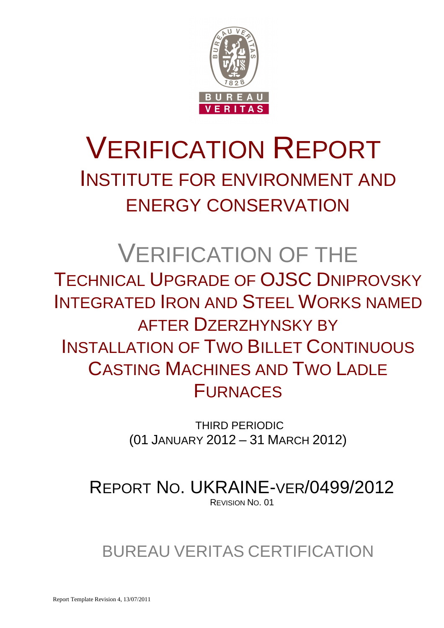

# VERIFICATION REPORT INSTITUTE FOR ENVIRONMENT AND ENERGY CONSERVATION

# VERIFICATION OF THE TECHNICAL UPGRADE OF OJSC DNIPROVSKY INTEGRATED IRON AND STEEL WORKS NAMED AFTER DZERZHYNSKY BY INSTALLATION OF TWO BILLET CONTINUOUS CASTING MACHINES AND TWO LADLE FURNACES

 THIRD PERIODIC (01 JANUARY 2012 – 31 MARCH 2012)

REPORT NO. UKRAINE-VER/0499/2012 REVISION NO. 01

# BUREAU VERITAS CERTIFICATION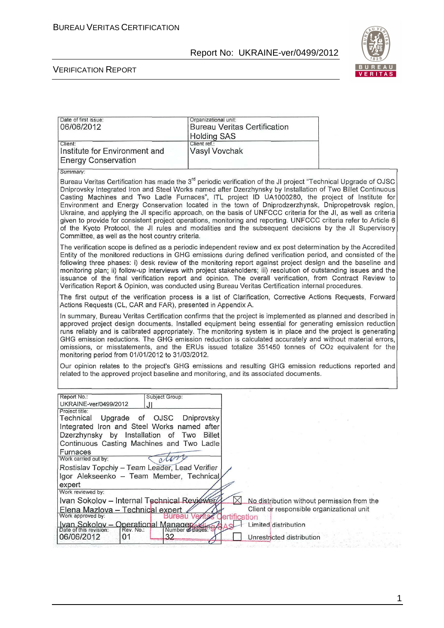

#### VERIFICATION REPORT

| Date of first issue:<br>06/06/2012                                                                                                                                                                 | Organizational unit:<br><b>Bureau Veritas Certification</b><br><b>Holding SAS</b>                                                                                                                                                                                                                                                                                                                                                                                                                                                                                                                                                                                                                                                                                                                      |  |
|----------------------------------------------------------------------------------------------------------------------------------------------------------------------------------------------------|--------------------------------------------------------------------------------------------------------------------------------------------------------------------------------------------------------------------------------------------------------------------------------------------------------------------------------------------------------------------------------------------------------------------------------------------------------------------------------------------------------------------------------------------------------------------------------------------------------------------------------------------------------------------------------------------------------------------------------------------------------------------------------------------------------|--|
| Client:<br>Institute for Environment and<br><b>Energy Conservation</b>                                                                                                                             | Client ref.:<br>Vasyl Vovchak                                                                                                                                                                                                                                                                                                                                                                                                                                                                                                                                                                                                                                                                                                                                                                          |  |
| Summary:                                                                                                                                                                                           |                                                                                                                                                                                                                                                                                                                                                                                                                                                                                                                                                                                                                                                                                                                                                                                                        |  |
| Committee, as well as the host country criteria.                                                                                                                                                   | Bureau Veritas Certification has made the 3 <sup>rd</sup> periodic verification of the JI project "Technical Upgrade of OJSC<br>Dniprovsky Integrated Iron and Steel Works named after Dzerzhynsky by Installation of Two Billet Continuous<br>Casting Machines and Two Ladle Furnaces", ITL project ID UA1000280, the project of Institute for<br>Environment and Energy Conservation located in the town of Dniprodzerzhynsk, Dnipropetrovsk region,<br>Ukraine, and applying the JI specific approach, on the basis of UNFCCC criteria for the JI, as well as criteria<br>given to provide for consistent project operations, monitoring and reporting. UNFCCC criteria refer to Article 6<br>of the Kyoto Protocol, the JI rules and modalities and the subsequent decisions by the JI Supervisory |  |
|                                                                                                                                                                                                    | The verification scope is defined as a periodic independent review and ex post determination by the Accredited<br>Entity of the monitored reductions in GHG emissions during defined verification period, and consisted of the<br>following three phases: i) desk review of the monitoring report against project design and the baseline and<br>monitoring plan; ii) follow-up interviews with project stakeholders; iii) resolution of outstanding issues and the<br>issuance of the final verification report and opinion. The overall verification, from Contract Review to<br>Verification Report & Opinion, was conducted using Bureau Veritas Certification internal procedures.                                                                                                                |  |
| Actions Requests (CL, CAR and FAR), presented in Appendix A.                                                                                                                                       | The first output of the verification process is a list of Clarification, Corrective Actions Requests, Forward                                                                                                                                                                                                                                                                                                                                                                                                                                                                                                                                                                                                                                                                                          |  |
| monitoring period from 01/01/2012 to 31/03/2012.                                                                                                                                                   | In summary, Bureau Veritas Certification confirms that the project is implemented as planned and described in<br>approved project design documents. Installed equipment being essential for generating emission reduction<br>runs reliably and is calibrated appropriately. The monitoring system is in place and the project is generating<br>GHG emission reductions. The GHG emission reduction is calculated accurately and without material errors,<br>omissions, or misstatements, and the ERUs issued totalize 351450 tonnes of CO2 equivalent for the                                                                                                                                                                                                                                          |  |
|                                                                                                                                                                                                    | Our opinion relates to the project's GHG emissions and resulting GHG emission reductions reported and<br>related to the approved project baseline and monitoring, and its associated documents.                                                                                                                                                                                                                                                                                                                                                                                                                                                                                                                                                                                                        |  |
| Report No.:<br>Subject Group:<br>UKRAINE-ver/0499/2012<br>.H                                                                                                                                       |                                                                                                                                                                                                                                                                                                                                                                                                                                                                                                                                                                                                                                                                                                                                                                                                        |  |
| Project title:<br>Upgrade of OJSC Dniprovsky<br>Technical<br>Integrated Iron and Steel Works named after<br>Dzerzhynsky by Installation of Two Billet<br>Continuous Casting Machines and Two Ladle |                                                                                                                                                                                                                                                                                                                                                                                                                                                                                                                                                                                                                                                                                                                                                                                                        |  |
| Furnaces<br>Work carried out by:                                                                                                                                                                   |                                                                                                                                                                                                                                                                                                                                                                                                                                                                                                                                                                                                                                                                                                                                                                                                        |  |
| Rostislav Topchiy - Team Leader, Lead Verifier                                                                                                                                                     |                                                                                                                                                                                                                                                                                                                                                                                                                                                                                                                                                                                                                                                                                                                                                                                                        |  |
| Igor Alekseenko - Team Member, Technical                                                                                                                                                           |                                                                                                                                                                                                                                                                                                                                                                                                                                                                                                                                                                                                                                                                                                                                                                                                        |  |
| expert<br>Work reviewed by:                                                                                                                                                                        |                                                                                                                                                                                                                                                                                                                                                                                                                                                                                                                                                                                                                                                                                                                                                                                                        |  |
| Ivan Sokolov - Internal Technical Reviewer                                                                                                                                                         | No distribution without permission from the                                                                                                                                                                                                                                                                                                                                                                                                                                                                                                                                                                                                                                                                                                                                                            |  |
| Elena Mazlova - Technical expert<br>Work approved by:<br>reau                                                                                                                                      | Client or responsible organizational unit<br>ertification                                                                                                                                                                                                                                                                                                                                                                                                                                                                                                                                                                                                                                                                                                                                              |  |
| Ivan Sokolov - Operational Manager<br>Number of pages:<br>Date of this revision:<br>Rev. No.:<br>32<br>06/06/2012<br>01                                                                            | Limited distribution<br>Unrestricted distribution                                                                                                                                                                                                                                                                                                                                                                                                                                                                                                                                                                                                                                                                                                                                                      |  |

1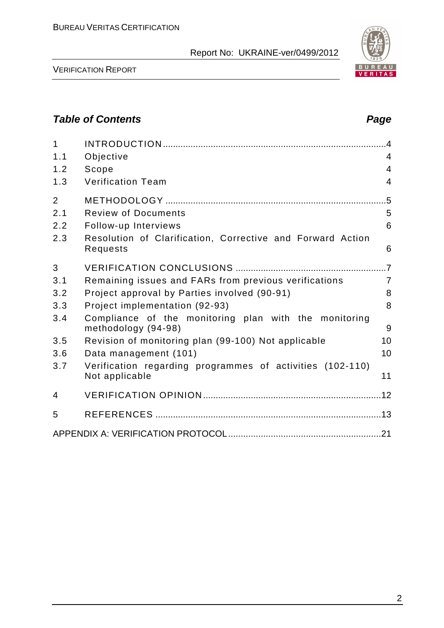| $\mathbf 1$    |                                                                              |                |
|----------------|------------------------------------------------------------------------------|----------------|
| 1.1            | Objective                                                                    | $\overline{4}$ |
| 1.2            | Scope                                                                        | $\overline{4}$ |
| 1.3            | <b>Verification Team</b>                                                     | $\overline{4}$ |
| $\overline{2}$ |                                                                              | $.5\,$         |
| 2.1            | <b>Review of Documents</b>                                                   | 5              |
| 2.2            | Follow-up Interviews                                                         | 6              |
| 2.3            | Resolution of Clarification, Corrective and Forward Action<br>Requests       | 6              |
| 3              |                                                                              |                |
| 3.1            | Remaining issues and FARs from previous verifications                        | $\overline{7}$ |
| 3.2            | Project approval by Parties involved (90-91)                                 | 8              |
| 3.3            | Project implementation (92-93)                                               | 8              |
| 3.4            | Compliance of the monitoring plan with the monitoring<br>methodology (94-98) | 9              |
| 3.5            | Revision of monitoring plan (99-100) Not applicable                          | 10             |
| 3.6            | Data management (101)                                                        | 10             |
| 3.7            | Verification regarding programmes of activities (102-110)<br>Not applicable  | 11             |
| 4              |                                                                              |                |
| 5              |                                                                              |                |
|                |                                                                              |                |

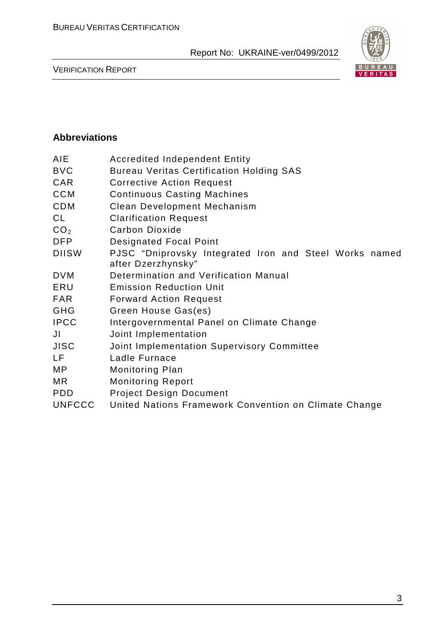

VERIFICATION REPORT

#### **Abbreviations**

| <b>Accredited Independent Entity</b>                                         |  |  |  |
|------------------------------------------------------------------------------|--|--|--|
| <b>Bureau Veritas Certification Holding SAS</b>                              |  |  |  |
| <b>Corrective Action Request</b>                                             |  |  |  |
| <b>Continuous Casting Machines</b>                                           |  |  |  |
| <b>Clean Development Mechanism</b>                                           |  |  |  |
| <b>Clarification Request</b>                                                 |  |  |  |
| <b>Carbon Dioxide</b>                                                        |  |  |  |
| <b>Designated Focal Point</b>                                                |  |  |  |
| PJSC "Dniprovsky Integrated Iron and Steel Works named<br>after Dzerzhynsky" |  |  |  |
| Determination and Verification Manual                                        |  |  |  |
| <b>Emission Reduction Unit</b>                                               |  |  |  |
| <b>Forward Action Request</b>                                                |  |  |  |
| Green House Gas(es)                                                          |  |  |  |
| Intergovernmental Panel on Climate Change                                    |  |  |  |
| Joint Implementation                                                         |  |  |  |
| Joint Implementation Supervisory Committee                                   |  |  |  |
| Ladle Furnace                                                                |  |  |  |
| <b>Monitoring Plan</b>                                                       |  |  |  |
| <b>Monitoring Report</b>                                                     |  |  |  |
| <b>Project Design Document</b>                                               |  |  |  |
| United Nations Framework Convention on Climate Change                        |  |  |  |
|                                                                              |  |  |  |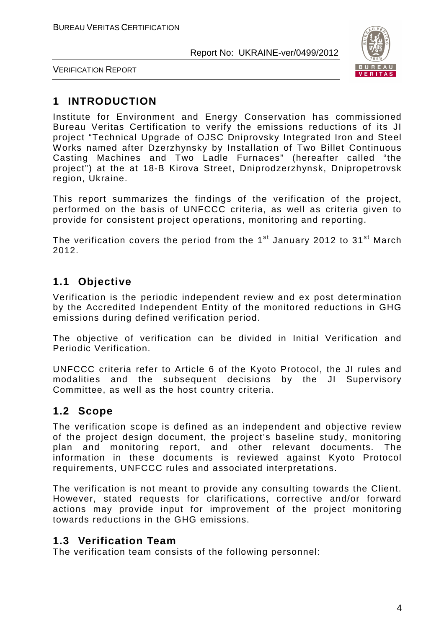

VERIFICATION REPORT

# **1 INTRODUCTION**

Institute for Environment and Energy Conservation has commissioned Bureau Veritas Certification to verify the emissions reductions of its JI project "Technical Upgrade of OJSC Dniprovsky Integrated Iron and Steel Works named after Dzerzhynsky by Installation of Two Billet Continuous Casting Machines and Two Ladle Furnaces" (hereafter called "the project") at the at 18-B Kirova Street, Dniprodzerzhynsk, Dnipropetrovsk region, Ukraine.

This report summarizes the findings of the verification of the project, performed on the basis of UNFCCC criteria, as well as criteria given to provide for consistent project operations, monitoring and reporting.

The verification covers the period from the  $1<sup>st</sup>$  January 2012 to 31<sup>st</sup> March 2012.

# **1.1 Objective**

Verification is the periodic independent review and ex post determination by the Accredited Independent Entity of the monitored reductions in GHG emissions during defined verification period.

The objective of verification can be divided in Initial Verification and Periodic Verification.

UNFCCC criteria refer to Article 6 of the Kyoto Protocol, the JI rules and modalities and the subsequent decisions by the JI Supervisory Committee, as well as the host country criteria.

# **1.2 Scope**

The verification scope is defined as an independent and objective review of the project design document, the project's baseline study, monitoring plan and monitoring report, and other relevant documents. The information in these documents is reviewed against Kyoto Protocol requirements, UNFCCC rules and associated interpretations.

The verification is not meant to provide any consulting towards the Client. However, stated requests for clarifications, corrective and/or forward actions may provide input for improvement of the project monitoring towards reductions in the GHG emissions.

## **1.3 Verification Team**

The verification team consists of the following personnel: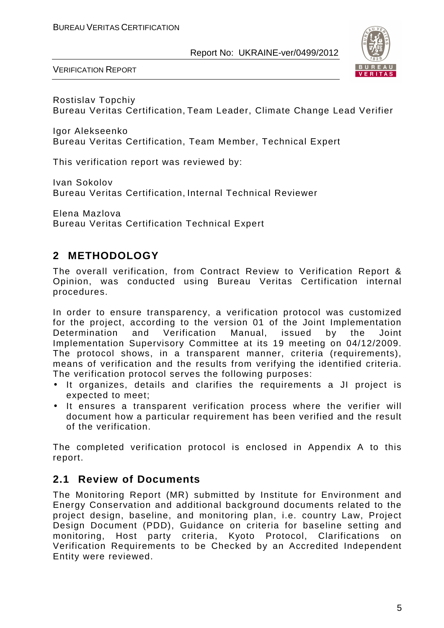

VERIFICATION REPORT

Rostislav Topchiy Bureau Veritas Certification, Team Leader, Climate Change Lead Verifier

Igor Alekseenko Bureau Veritas Certification, Team Member, Technical Expert

This verification report was reviewed by:

Ivan Sokolov Bureau Veritas Certification, Internal Technical Reviewer

Elena Mazlova Bureau Veritas Certification Technical Expert

# **2 METHODOLOGY**

The overall verification, from Contract Review to Verification Report & Opinion, was conducted using Bureau Veritas Certification internal procedures.

In order to ensure transparency, a verification protocol was customized for the project, according to the version 01 of the Joint Implementation Determination and Verification Manual, issued by the Joint Implementation Supervisory Committee at its 19 meeting on 04/12/2009. The protocol shows, in a transparent manner, criteria (requirements), means of verification and the results from verifying the identified criteria. The verification protocol serves the following purposes:

- It organizes, details and clarifies the requirements a JI project is expected to meet;
- It ensures a transparent verification process where the verifier will document how a particular requirement has been verified and the result of the verification.

The completed verification protocol is enclosed in Appendix A to this report.

## **2.1 Review of Documents**

The Monitoring Report (MR) submitted by Institute for Environment and Energy Conservation and additional background documents related to the project design, baseline, and monitoring plan, i.e. country Law, Project Design Document (PDD), Guidance on criteria for baseline setting and monitoring, Host party criteria, Kyoto Protocol, Clarifications on Verification Requirements to be Checked by an Accredited Independent Entity were reviewed.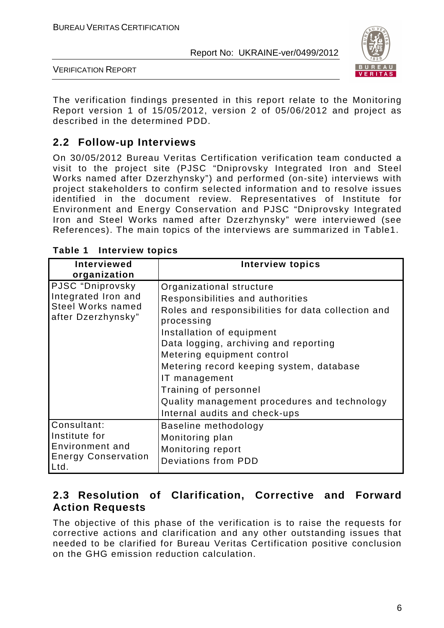

VERIFICATION REPORT

The verification findings presented in this report relate to the Monitoring Report version 1 of 15/05/2012, version 2 of 05/06/2012 and project as described in the determined PDD.

# **2.2 Follow-up Interviews**

On 30/05/2012 Bureau Veritas Certification verification team conducted a visit to the project site (PJSC "Dniprovsky Integrated Iron and Steel Works named after Dzerzhynsky") and performed (on-site) interviews with project stakeholders to confirm selected information and to resolve issues identified in the document review. Representatives of Institute for Environment and Energy Conservation and PJSC "Dniprovsky Integrated Iron and Steel Works named after Dzerzhynsky" were interviewed (see References). The main topics of the interviews are summarized in Table1.

| <b>Interviewed</b><br>organization                                                        | <b>Interview topics</b>                                                                                                                                                                                                                                                                                                                                                                                     |
|-------------------------------------------------------------------------------------------|-------------------------------------------------------------------------------------------------------------------------------------------------------------------------------------------------------------------------------------------------------------------------------------------------------------------------------------------------------------------------------------------------------------|
| PJSC "Dniprovsky<br>Integrated Iron and<br><b>Steel Works named</b><br>after Dzerzhynsky" | Organizational structure<br>Responsibilities and authorities<br>Roles and responsibilities for data collection and<br>processing<br>Installation of equipment<br>Data logging, archiving and reporting<br>Metering equipment control<br>Metering record keeping system, database<br>IT management<br>Training of personnel<br>Quality management procedures and technology<br>Internal audits and check-ups |
| Consultant:<br>Institute for<br>Environment and<br><b>Energy Conservation</b><br>Ltd.     | Baseline methodology<br>Monitoring plan<br>Monitoring report<br>Deviations from PDD                                                                                                                                                                                                                                                                                                                         |

**Table 1 Interview topics** 

## **2.3 Resolution of Clarification, Corrective and Forward Action Requests**

The objective of this phase of the verification is to raise the requests for corrective actions and clarification and any other outstanding issues that needed to be clarified for Bureau Veritas Certification positive conclusion on the GHG emission reduction calculation.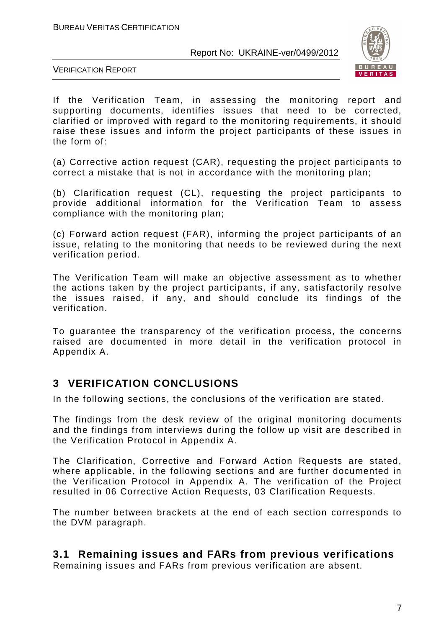

VERIFICATION REPORT

If the Verification Team, in assessing the monitoring report and supporting documents, identifies issues that need to be corrected, clarified or improved with regard to the monitoring requirements, it should raise these issues and inform the project participants of these issues in the form of:

(a) Corrective action request (CAR), requesting the project participants to correct a mistake that is not in accordance with the monitoring plan;

(b) Clarification request (CL), requesting the project participants to provide additional information for the Verification Team to assess compliance with the monitoring plan;

(c) Forward action request (FAR), informing the project participants of an issue, relating to the monitoring that needs to be reviewed during the next verification period.

The Verification Team will make an objective assessment as to whether the actions taken by the project participants, if any, satisfactorily resolve the issues raised, if any, and should conclude its findings of the verification.

To guarantee the transparency of the verification process, the concerns raised are documented in more detail in the verification protocol in Appendix A.

# **3 VERIFICATION CONCLUSIONS**

In the following sections, the conclusions of the verification are stated.

The findings from the desk review of the original monitoring documents and the findings from interviews during the follow up visit are described in the Verification Protocol in Appendix A.

The Clarification, Corrective and Forward Action Requests are stated, where applicable, in the following sections and are further documented in the Verification Protocol in Appendix A. The verification of the Project resulted in 06 Corrective Action Requests, 03 Clarification Requests.

The number between brackets at the end of each section corresponds to the DVM paragraph.

## **3.1 Remaining issues and FARs from previous verifications**

Remaining issues and FARs from previous verification are absent.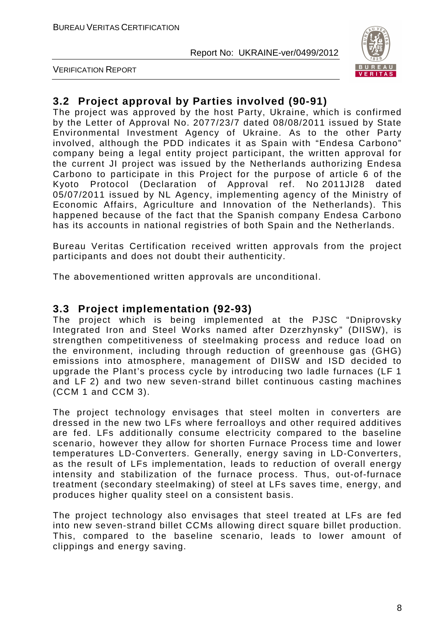

VERIFICATION REPORT

# **3.2 Project approval by Parties involved (90-91)**

The project was approved by the host Party, Ukraine, which is confirmed by the Letter of Approval No. 2077/23/7 dated 08/08/2011 issued by State Environmental Investment Agency of Ukraine. As to the other Party involved, although the PDD indicates it as Spain with "Endesa Carbono" company being a legal entity project participant, the written approval for the current JI project was issued by the Netherlands authorizing Endesa Carbono to participate in this Project for the purpose of article 6 of the Kyoto Protocol (Declaration of Approval ref. No 2011JI28 dated 05/07/2011 issued by NL Agency, implementing agency of the Ministry of Economic Affairs, Agriculture and Innovation of the Netherlands). This happened because of the fact that the Spanish company Endesa Carbono has its accounts in national registries of both Spain and the Netherlands.

Bureau Veritas Certification received written approvals from the project participants and does not doubt their authenticity.

The abovementioned written approvals are unconditional.

#### **3.3 Project implementation (92-93)**

The project which is being implemented at the PJSC "Dniprovsky Integrated Iron and Steel Works named after Dzerzhynsky" (DIISW), is strengthen competitiveness of steelmaking process and reduce load on the environment, including through reduction of greenhouse gas (GHG) emissions into atmosphere, management of DIISW and ISD decided to upgrade the Plant's process cycle by introducing two ladle furnaces (LF 1 and LF 2) and two new seven-strand billet continuous casting machines (CCM 1 and CCM 3).

The project technology envisages that steel molten in converters are dressed in the new two LFs where ferroalloys and other required additives are fed. LFs additionally consume electricity compared to the baseline scenario, however they allow for shorten Furnace Process time and lower temperatures LD-Converters. Generally, energy saving in LD-Converters, as the result of LFs implementation, leads to reduction of overall energy intensity and stabilization of the furnace process. Thus, out-of-furnace treatment (secondary steelmaking) of steel at LFs saves time, energy, and produces higher quality steel on a consistent basis.

The project technology also envisages that steel treated at LFs are fed into new seven-strand billet CCMs allowing direct square billet production. This, compared to the baseline scenario, leads to lower amount of clippings and energy saving.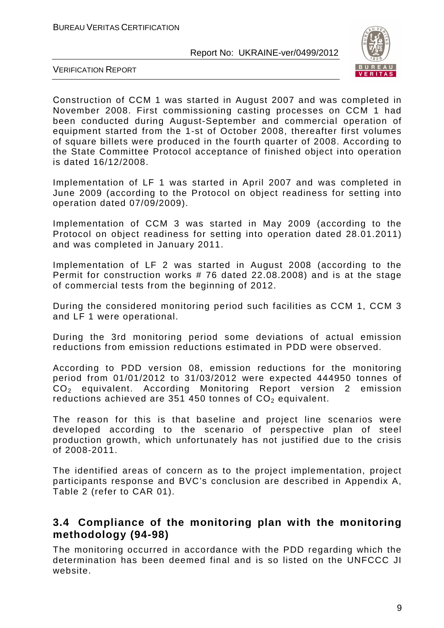

VERIFICATION REPORT

Сonstruction of CCM 1 was started in August 2007 and was completed in November 2008. First commissioning casting processes on CCM 1 had been conducted during August-September and commercial operation of equipment started from the 1-st of October 2008, thereafter first volumes of square billets were produced in the fourth quarter of 2008. According to the State Committee Protocol acceptance of finished object into operation is dated 16/12/2008.

Implementation of LF 1 was started in April 2007 and was completed in June 2009 (according to the Protocol on object readiness for setting into operation dated 07/09/2009).

Implementation of CCM 3 was started in May 2009 (according to the Protocol on object readiness for setting into operation dated 28.01.2011) and was completed in January 2011.

Implementation of LF 2 was started in August 2008 (according to the Permit for construction works # 76 dated 22.08.2008) and is at the stage of commercial tests from the beginning of 2012.

During the considered monitoring period such facilities as CCM 1, CCM 3 and LF 1 were operational.

During the 3rd monitoring period some deviations of actual emission reductions from emission reductions estimated in PDD were observed.

According to PDD version 08, emission reductions for the monitoring period from 01/01/2012 to 31/03/2012 were expected 444950 tonnes of CO2 equivalent. According Monitoring Report version 2 emission reductions achieved are 351 450 tonnes of  $CO<sub>2</sub>$  equivalent.

The reason for this is that baseline and project line scenarios were developed according to the scenario of perspective plan of steel production growth, which unfortunately has not justified due to the crisis of 2008-2011.

The identified areas of concern as to the project implementation, project participants response and BVC's conclusion are described in Appendix A, Table 2 (refer to CAR 01).

## **3.4 Compliance of the monitoring plan with the monitoring methodology (94-98)**

The monitoring occurred in accordance with the PDD regarding which the determination has been deemed final and is so listed on the UNFCCC JI website.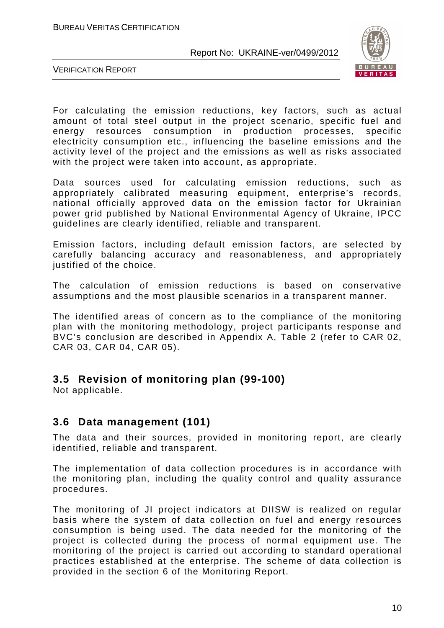

VERIFICATION REPORT

For calculating the emission reductions, key factors, such as actual amount of total steel output in the project scenario, specific fuel and energy resources consumption in production processes, specific electricity consumption etc., influencing the baseline emissions and the activity level of the project and the emissions as well as risks associated with the project were taken into account, as appropriate.

Data sources used for calculating emission reductions, such as appropriately calibrated measuring equipment, enterprise's records, national officially approved data on the emission factor for Ukrainian power grid published by National Environmental Agency of Ukraine, IPCC guidelines are clearly identified, reliable and transparent.

Emission factors, including default emission factors, are selected by carefully balancing accuracy and reasonableness, and appropriately justified of the choice.

The calculation of emission reductions is based on conservative assumptions and the most plausible scenarios in a transparent manner.

The identified areas of concern as to the compliance of the monitoring plan with the monitoring methodology, project participants response and BVC's conclusion are described in Appendix A, Table 2 (refer to CAR 02, CAR 03, CAR 04, CAR 05).

## **3.5 Revision of monitoring plan (99-100)**

Not applicable.

#### **3.6 Data management (101)**

The data and their sources, provided in monitoring report, are clearly identified, reliable and transparent.

The implementation of data collection procedures is in accordance with the monitoring plan, including the quality control and quality assurance procedures.

The monitoring of JI project indicators at DIISW is realized on regular basis where the system of data collection on fuel and energy resources consumption is being used. The data needed for the monitoring of the project is collected during the process of normal equipment use. The monitoring of the project is carried out according to standard operational practices established at the enterprise. The scheme of data collection is provided in the section 6 of the Monitoring Report.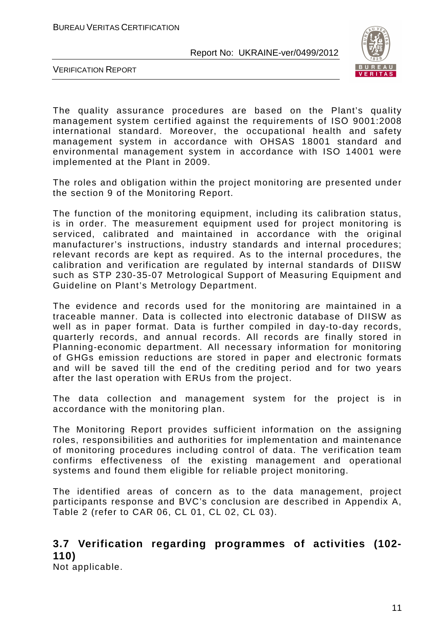

VERIFICATION REPORT

The quality assurance procedures are based on the Plant's quality management system certified against the requirements of ISО 9001:2008 international standard. Moreover, the occupational health and safety management system in accordance with OHSAS 18001 standard and environmental management system in accordance with ISO 14001 were implemented at the Plant in 2009.

The roles and obligation within the project monitoring are presented under the section 9 of the Monitoring Report.

The function of the monitoring equipment, including its calibration status, is in order. The measurement equipment used for project monitoring is serviced, calibrated and maintained in accordance with the original manufacturer's instructions, industry standards and internal procedures; relevant records are kept as required. As to the internal procedures, the calibration and verification are regulated by internal standards of DIISW such as STP 230-35-07 Metrological Support of Measuring Equipment and Guideline on Plant's Metrology Department.

The evidence and records used for the monitoring are maintained in a traceable manner. Data is collected into electronic database of DIISW as well as in paper format. Data is further compiled in day-to-day records, quarterly records, and annual records. All records are finally stored in Planning-economic department. All necessary information for monitoring of GHGs emission reductions are stored in paper and electronic formats and will be saved till the end of the crediting period and for two years after the last operation with ERUs from the project.

The data collection and management system for the project is in accordance with the monitoring plan.

The Monitoring Report provides sufficient information on the assigning roles, responsibilities and authorities for implementation and maintenance of monitoring procedures including control of data. The verification team confirms effectiveness of the existing management and operational systems and found them eligible for reliable project monitoring.

The identified areas of concern as to the data management, project participants response and BVC's conclusion are described in Appendix A, Table 2 (refer to CAR 06, CL 01, CL 02, CL 03).

# **3.7 Verification regarding programmes of activities (102- 110)**

Not applicable.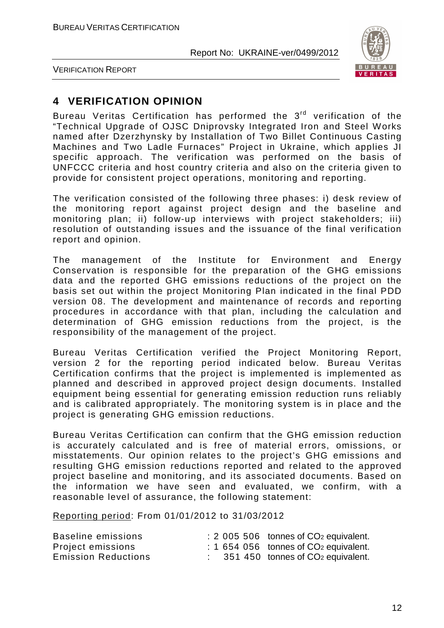

VERIFICATION REPORT

# **4 VERIFICATION OPINION**

Bureau Veritas Certification has performed the  $3<sup>rd</sup>$  verification of the "Technical Upgrade of OJSC Dniprovsky Integrated Iron and Steel Works named after Dzerzhynsky by Installation of Two Billet Continuous Casting Machines and Two Ladle Furnaces" Project in Ukraine, which applies JI specific approach. The verification was performed on the basis of UNFCCC criteria and host country criteria and also on the criteria given to provide for consistent project operations, monitoring and reporting.

The verification consisted of the following three phases: i) desk review of the monitoring report against project design and the baseline and monitoring plan; ii) follow-up interviews with project stakeholders; iii) resolution of outstanding issues and the issuance of the final verification report and opinion.

The management of the Institute for Environment and Energy Conservation is responsible for the preparation of the GHG emissions data and the reported GHG emissions reductions of the project on the basis set out within the project Monitoring Plan indicated in the final PDD version 08. The development and maintenance of records and reporting procedures in accordance with that plan, including the calculation and determination of GHG emission reductions from the project, is the responsibility of the management of the project.

Bureau Veritas Certification verified the Project Monitoring Report, version 2 for the reporting period indicated below. Bureau Veritas Certification confirms that the project is implemented is implemented as planned and described in approved project design documents. Installed equipment being essential for generating emission reduction runs reliably and is calibrated appropriately. The monitoring system is in place and the project is generating GHG emission reductions.

Bureau Veritas Certification can confirm that the GHG emission reduction is accurately calculated and is free of material errors, omissions, or misstatements. Our opinion relates to the project's GHG emissions and resulting GHG emission reductions reported and related to the approved project baseline and monitoring, and its associated documents. Based on the information we have seen and evaluated, we confirm, with a reasonable level of assurance, the following statement:

Reporting period: From 01/01/2012 to 31/03/2012

| Baseline emissions         |  | $\div$ 2 005 506 tonnes of CO <sub>2</sub> equivalent.     |
|----------------------------|--|------------------------------------------------------------|
| Project emissions          |  | $\div$ 1 654 056 tonnes of CO <sub>2</sub> equivalent.     |
| <b>Emission Reductions</b> |  | $\therefore$ 351 450 tonnes of CO <sub>2</sub> equivalent. |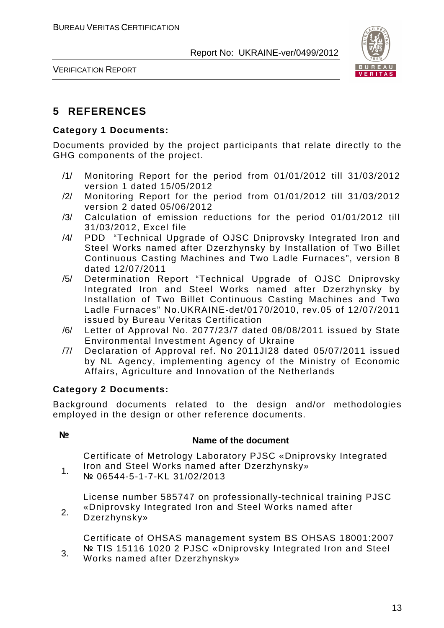

VERIFICATION REPORT

# **5 REFERENCES**

#### **Category 1 Documents:**

Documents provided by the project participants that relate directly to the GHG components of the project.

- /1/ Monitoring Report for the period from 01/01/2012 till 31/03/2012 version 1 dated 15/05/2012
- /2/ Monitoring Report for the period from 01/01/2012 till 31/03/2012 version 2 dated 05/06/2012
- /3/ Calculation of emission reductions for the period 01/01/2012 till 31/03/2012, Excel file
- /4/ PDD "Technical Upgrade of OJSC Dniprovsky Integrated Iron and Steel Works named after Dzerzhynsky by Installation of Two Billet Continuous Casting Machines and Two Ladle Furnaces", version 8 dated 12/07/2011
- /5/ Determination Report "Technical Upgrade of OJSC Dniprovsky Integrated Iron and Steel Works named after Dzerzhynsky by Installation of Two Billet Continuous Casting Machines and Two Ladle Furnaces" No.UKRAINE-det/0170/2010, rev.05 of 12/07/2011 issued by Bureau Veritas Certification
- /6/ Letter of Approval No. 2077/23/7 dated 08/08/2011 issued by State Environmental Investment Agency of Ukraine
- /7/ Declaration of Approval ref. No 2011JI28 dated 05/07/2011 issued by NL Agency, implementing agency of the Ministry of Economic Affairs, Agriculture and Innovation of the Netherlands

#### **Category 2 Documents:**

Background documents related to the design and/or methodologies employed in the design or other reference documents.

# **№ Name of the document**

Certificate of Metrology Laboratory PJSC «Dniprovsky Integrated Iron and Steel Works named after Dzerzhynsky»

1. № 06544-5-1-7-KL 31/02/2013

> License number 585747 on professionally-technical training PJSC «Dniprovsky Integrated Iron and Steel Works named after

2. Dzerzhynsky»

> Certificate of OHSAS management system BS OHSAS 18001:2007 Nº TIS 15116 1020 2 PJSC «Dniprovsky Integrated Iron and Steel

3. Works named after Dzerzhynsky»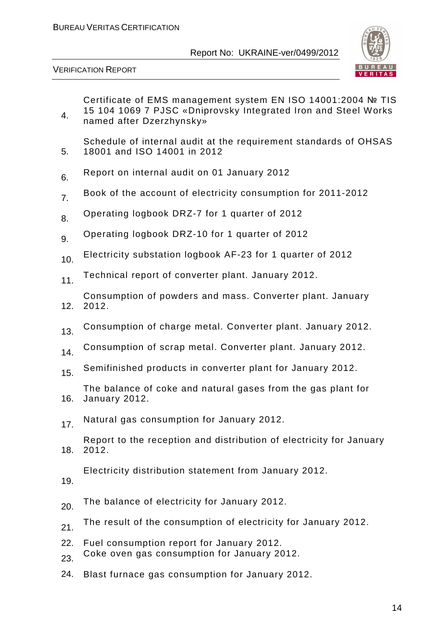

VERIFICATION REPORT

4. Certificate of EMS management system EN ISO 14001:2004 № TIS 15 104 1069 7 PJSC «Dniprovsky Integrated Iron and Steel Works named after Dzerzhynsky»

5. Schedule of internal audit at the requirement standards of OHSAS 18001 and ISO 14001 in 2012

- 6. Report on internal audit on 01 January 2012
- 7. Book of the account of electricity consumption for 2011-2012
- 8. Operating logbook DRZ-7 for 1 quarter of 2012
- 9. Operating logbook DRZ-10 for 1 quarter of 2012
- 10. Electricity substation logbook AF-23 for 1 quarter of 2012
- 11. Technical report of converter plant. January 2012.

12. Consumption of powders and mass. Converter plant. January 2012.

- 13. Consumption of charge metal. Converter plant. January 2012.
- 14. Consumption of scrap metal. Converter plant. January 2012.
- 15. Semifinished products in converter plant for January 2012.

16. The balance of coke and natural gases from the gas plant for January 2012.

17. Natural gas consumption for January 2012.

18. Report to the reception and distribution of electricity for January 2012.

Electricity distribution statement from January 2012.

19.

- 20. The balance of electricity for January 2012.
- 21. The result of the consumption of electricity for January 2012.
- 22. Fuel consumption report for January 2012.
- 23. Coke oven gas consumption for January 2012.
- 24. Blast furnace gas consumption for January 2012.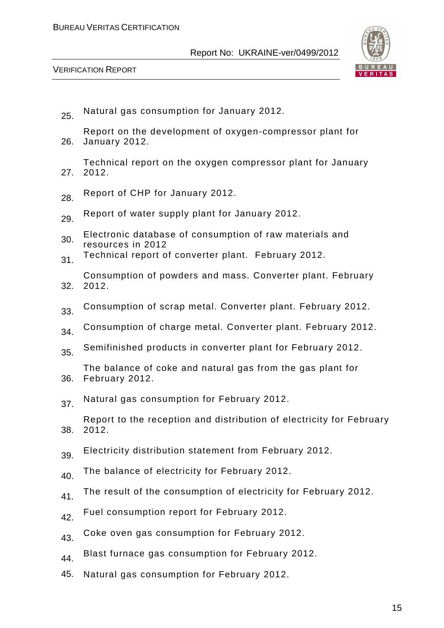

- 25. Natural gas consumption for January 2012.
- 26. Report on the development of oxygen-compressor plant for January 2012.
- 27. Technical report on the oxygen compressor plant for January 2012.
- 28. Report of CHP for January 2012.
- 29. Report of water supply plant for January 2012.
- 30. Electronic database of consumption of raw materials and resources in 2012
- 31. Technical report of converter plant. February 2012.
- 32. Consumption of powders and mass. Converter plant. February 2012.
- 33. Consumption of scrap metal. Converter plant. February 2012.
- 34. Consumption of charge metal. Converter plant. February 2012.
- 35. Semifinished products in converter plant for February 2012.
- 36. The balance of coke and natural gas from the gas plant for February 2012.
- 37. Natural gas consumption for February 2012.
- 38. Report to the reception and distribution of electricity for February 2012.
- 39. Electricity distribution statement from February 2012.
- 40. The balance of electricity for February 2012.
- 41. The result of the consumption of electricity for February 2012.
- 42. Fuel consumption report for February 2012.
- 43. Coke oven gas consumption for February 2012.
- 44. Blast furnace gas consumption for February 2012.
- 45. Natural gas consumption for February 2012.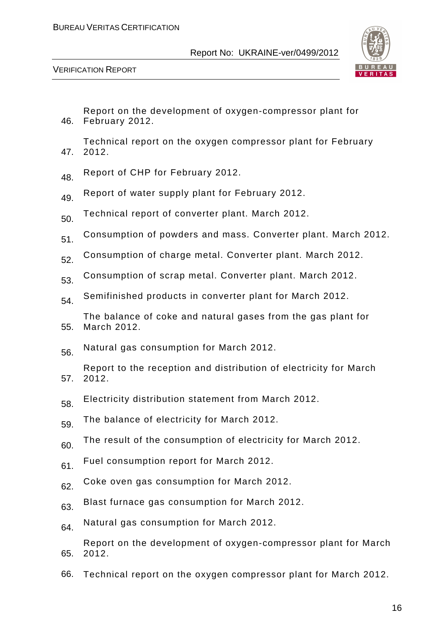

VERIFICATION REPORT

- 46. February 2012. Report on the development of oxygen-compressor plant for
- 47. Technical report on the oxygen compressor plant for February 2012.
- 48 Report of CHP for February 2012.
- 49. Report of water supply plant for February 2012.
- 50. Technical report of converter plant. March 2012.
- 51. Consumption of powders and mass. Converter plant. March 2012.
- 52. Consumption of charge metal. Converter plant. March 2012.
- 53. Consumption of scrap metal. Converter plant. March 2012.
- 54. Semifinished products in converter plant for March 2012.
- 55. The balance of coke and natural gases from the gas plant for March 2012.
- 56. Natural gas consumption for March 2012.
- 57. Report to the reception and distribution of electricity for March 2012.
- 58. Electricity distribution statement from March 2012.
- 59. The balance of electricity for March 2012.
- 60. The result of the consumption of electricity for March 2012.
- 61. Fuel consumption report for March 2012.
- 62. Coke oven gas consumption for March 2012.
- 63. Blast furnace gas consumption for March 2012.
- 64. Natural gas consumption for March 2012.

65. Report on the development of oxygen-compressor plant for March 2012.

66. Technical report on the oxygen compressor plant for March 2012.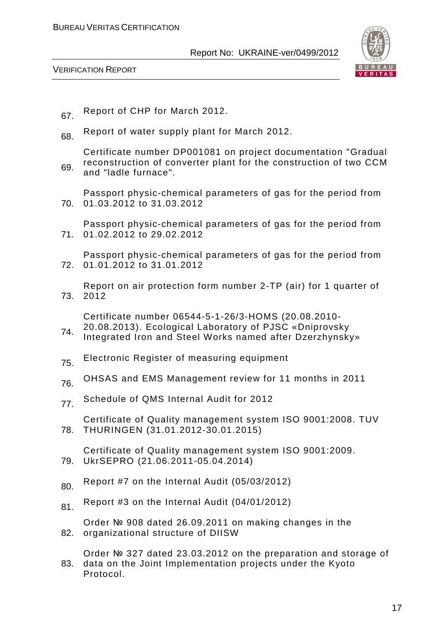

VERIFICATION REPORT

- 67. Report of CHP for March 2012.
- 68. Report of water supply plant for March 2012.
- 69. Certificate number DP001081 on project documentation "Gradual reconstruction of converter plant for the construction of two CCM and "ladle furnace".

70. 01.03.2012 to 31.03.2012 Passport physic-chemical parameters of gas for the period from

71. 01.02.2012 to 29.02.2012 Passport physic-chemical parameters of gas for the period from

72. 01.01.2012 to 31.01.2012 Passport physic-chemical parameters of gas for the period from

73. Report on air protection form number 2-TP (air) for 1 quarter of 2012

Certificate number 06544-5-1-26/3-HOMS (20.08.2010- 20.08.2013). Ecological Laboratory of PJSC «Dniprovsky

- 74. Integrated Iron and Steel Works named after Dzerzhynsky»
- 75. Electronic Register of measuring equipment
- 76 OHSAS and EMS Management review for 11 months in 2011
- 77. Schedule of QMS Internal Audit for 2012

78. Certificate of Quality management system ISO 9001:2008. TUV THURINGEN (31.01.2012-30.01.2015)

79. Certificate of Quality management system ISO 9001:2009. UkrSEPRO (21.06.2011-05.04.2014)

- $80.$  Report #7 on the Internal Audit (05/03/2012)
- $81$ . Report #3 on the Internal Audit (04/01/2012)

82. organizational structure of DIISW Order № 908 dated 26.09.2011 on making changes in the

83. Order № 327 dated 23.03.2012 on the preparation and storage of data on the Joint Implementation projects under the Kyoto Protocol.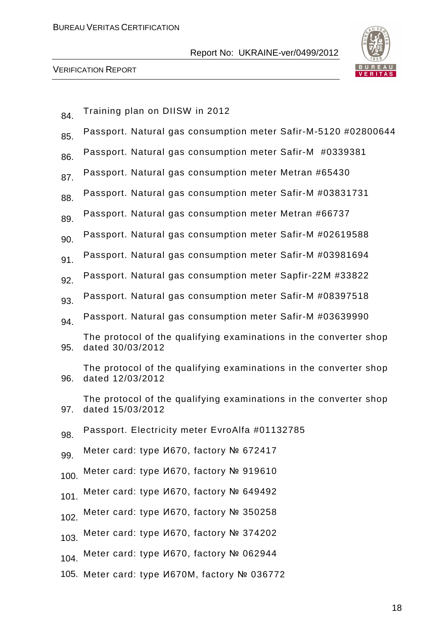

| 84.  | Training plan on DIISW in 2012                                                        |
|------|---------------------------------------------------------------------------------------|
| 85.  | Passport. Natural gas consumption meter Safir-M-5120 #02800644                        |
| 86.  | Passport. Natural gas consumption meter Safir-M #0339381                              |
| 87.  | Passport. Natural gas consumption meter Metran #65430                                 |
| 88.  | Passport. Natural gas consumption meter Safir-M #03831731                             |
| 89.  | Passport. Natural gas consumption meter Metran #66737                                 |
| 90.  | Passport. Natural gas consumption meter Safir-M #02619588                             |
| 91.  | Passport. Natural gas consumption meter Safir-M #03981694                             |
| 92.  | Passport. Natural gas consumption meter Sapfir-22M #33822                             |
| 93.  | Passport. Natural gas consumption meter Safir-M #08397518                             |
| 94.  | Passport. Natural gas consumption meter Safir-M #03639990                             |
| 95.  | The protocol of the qualifying examinations in the converter shop<br>dated 30/03/2012 |
| 96.  | The protocol of the qualifying examinations in the converter shop<br>dated 12/03/2012 |
| 97.  | The protocol of the qualifying examinations in the converter shop<br>dated 15/03/2012 |
| 98.  | Passport. Electricity meter EvroAlfa #01132785                                        |
| 99.  | Meter card: type <i>V</i> 670, factory № 672417                                       |
| 100. | Meter card: type И670, factory № 919610                                               |
| 101. | Meter card: type И670, factory № 649492                                               |
| 102. | Meter card: type <i>V</i> 670, factory № 350258                                       |
| 103. | Meter card: type И670, factory № 374202                                               |
| 104. | Meter card: type И670, factory № 062944                                               |
|      | 105. Meter card: type <i>V</i> 670M, factory № 036772                                 |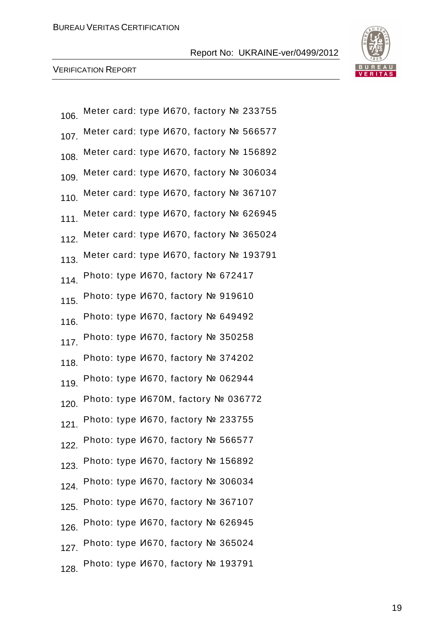

| 106.             | Meter card: type <i>V</i> 670, factory № 233755 |
|------------------|-------------------------------------------------|
| 107.             | Meter card: type И670, factory № 566577         |
| 108.             | Meter card: type И670, factory № 156892         |
| 109.             | Meter card: type И670, factory № 306034         |
| 110.             | Meter card: type И670, factory № 367107         |
| 111.             | Meter card: type И670, factory № 626945         |
|                  | 112. Meter card: type И670, factory № 365024    |
| 113.             | Meter card: type И670, factory № 193791         |
| 114.             | Photo: type И670, factory № 672417              |
| 115.             | Photo: type И670, factory № 919610              |
| 116.             | Photo: type <i>V</i> 670, factory № 649492      |
| 117.             | Photo: type И670, factory № 350258              |
|                  | 118. Photo: type И670, factory № 374202         |
| 119.             | Photo: type И670, factory № 062944              |
| 120.             | Photo: type <i>V</i> 670M, factory № 036772     |
| 121 <sub>1</sub> | Photo: type И670, factory № 233755              |
| 122.             | Photo: type <i>V</i> 670, factory № 566577      |
|                  | 123. Photo: type И670, factory № 156892         |
|                  | 124. Photo: type И670, factory № 306034         |
| 125.             | Photo: type И670, factory № 367107              |
|                  | 126. Photo: type И670, factory № 626945         |
|                  | 127. Photo: type И670, factory № 365024         |
| 128.             | Photo: type <i>V</i> 670, factory № 193791      |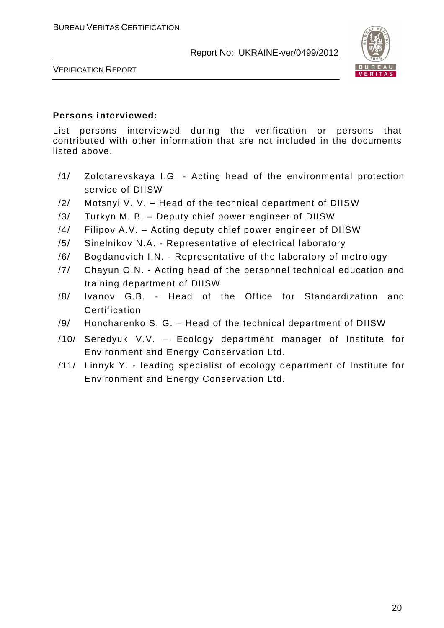

VERIFICATION REPORT

#### **Persons interviewed:**

List persons interviewed during the verification or persons that contributed with other information that are not included in the documents listed above.

- /1/ Zolotarevskaya I.G. Acting head of the environmental protection service of DIISW
- /2/ Motsnyi V. V. Head of the technical department of DIISW
- /3/ Turkyn M. B. Deputy chief power engineer of DIISW
- /4/ Filipov A.V. Acting deputy chief power engineer of DIISW
- /5/ Sinelnikov N.A. Representative of electrical laboratory
- /6/ Bogdanovich I.N. Representative of the laboratory of metrology
- /7/ Chayun O.N. Acting head of the personnel technical education and training department of DIISW
- /8/ Ivanov G.B. Head of the Office for Standardization and **Certification**
- /9/ Honcharenko S. G. Head of the technical department of DIISW
- /10/ Seredyuk V.V. Ecology department manager of Institute for Environment and Energy Conservation Ltd.
- /11/ Linnyk Y. leading specialist of ecology department of Institute for Environment and Energy Conservation Ltd.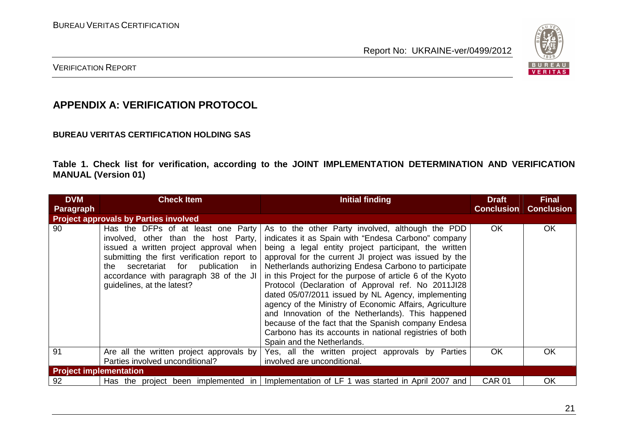

#### VERIFICATION REPORT

# **APPENDIX A: VERIFICATION PROTOCOL**

#### **BUREAU VERITAS CERTIFICATION HOLDING SAS**

**Table 1. Check list for verification, according to the JOINT IMPLEMENTATION DETERMINATION AND VERIFICATION MANUAL (Version 01)** 

| <b>DVM</b><br><b>Paragraph</b> | <b>Check Item</b>                                                                                                                                                                                                                                                                 | <b>Initial finding</b>                                                                                                                                                                                                                                                                                                                                                                                                                                                                                                                                                                                                                                                                                                      | <b>Draft</b><br><b>Conclusion</b> | <b>Final</b><br><b>Conclusion</b> |
|--------------------------------|-----------------------------------------------------------------------------------------------------------------------------------------------------------------------------------------------------------------------------------------------------------------------------------|-----------------------------------------------------------------------------------------------------------------------------------------------------------------------------------------------------------------------------------------------------------------------------------------------------------------------------------------------------------------------------------------------------------------------------------------------------------------------------------------------------------------------------------------------------------------------------------------------------------------------------------------------------------------------------------------------------------------------------|-----------------------------------|-----------------------------------|
|                                | <b>Project approvals by Parties involved</b>                                                                                                                                                                                                                                      |                                                                                                                                                                                                                                                                                                                                                                                                                                                                                                                                                                                                                                                                                                                             |                                   |                                   |
| 90                             | Has the DFPs of at least one Party<br>involved, other than the host Party,<br>issued a written project approval when<br>submitting the first verification report to<br>the secretariat for publication in<br>accordance with paragraph 38 of the JI<br>guidelines, at the latest? | As to the other Party involved, although the PDD<br>indicates it as Spain with "Endesa Carbono" company<br>being a legal entity project participant, the written<br>approval for the current JI project was issued by the<br>Netherlands authorizing Endesa Carbono to participate<br>in this Project for the purpose of article 6 of the Kyoto<br>Protocol (Declaration of Approval ref. No 2011JI28<br>dated 05/07/2011 issued by NL Agency, implementing<br>agency of the Ministry of Economic Affairs, Agriculture<br>and Innovation of the Netherlands). This happened<br>because of the fact that the Spanish company Endesa<br>Carbono has its accounts in national registries of both<br>Spain and the Netherlands. | OK.                               | <b>OK</b>                         |
| 91                             | Are all the written project approvals by<br>Parties involved unconditional?                                                                                                                                                                                                       | Yes, all the written project approvals by Parties<br>involved are unconditional.                                                                                                                                                                                                                                                                                                                                                                                                                                                                                                                                                                                                                                            | <b>OK</b>                         | OK                                |
| <b>Project implementation</b>  |                                                                                                                                                                                                                                                                                   |                                                                                                                                                                                                                                                                                                                                                                                                                                                                                                                                                                                                                                                                                                                             |                                   |                                   |
| 92                             | Has the project been implemented in                                                                                                                                                                                                                                               | Implementation of LF 1 was started in April 2007 and                                                                                                                                                                                                                                                                                                                                                                                                                                                                                                                                                                                                                                                                        | <b>CAR 01</b>                     | OK                                |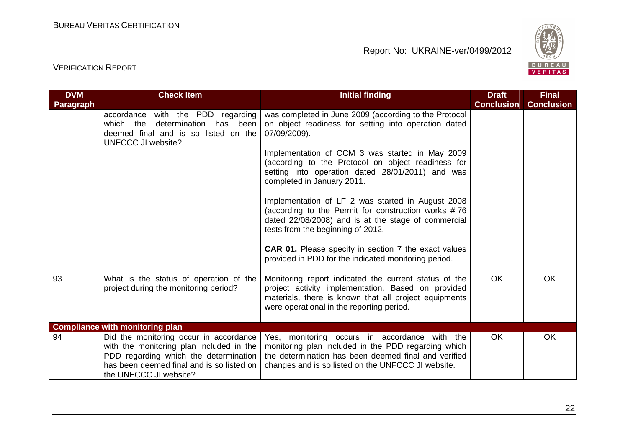

| <b>DVM</b>       | <b>Check Item</b>                                                                                                                                                                                  | <b>Initial finding</b>                                                                                                                                                                                             | <b>Draft</b>      | <b>Final</b>      |
|------------------|----------------------------------------------------------------------------------------------------------------------------------------------------------------------------------------------------|--------------------------------------------------------------------------------------------------------------------------------------------------------------------------------------------------------------------|-------------------|-------------------|
| <b>Paragraph</b> |                                                                                                                                                                                                    |                                                                                                                                                                                                                    | <b>Conclusion</b> | <b>Conclusion</b> |
|                  | accordance with the PDD regarding<br>which the determination<br>has been<br>deemed final and is so listed on the<br><b>UNFCCC JI website?</b>                                                      | was completed in June 2009 (according to the Protocol<br>on object readiness for setting into operation dated<br>07/09/2009).                                                                                      |                   |                   |
|                  |                                                                                                                                                                                                    | Implementation of CCM 3 was started in May 2009<br>(according to the Protocol on object readiness for<br>setting into operation dated 28/01/2011) and was<br>completed in January 2011.                            |                   |                   |
|                  |                                                                                                                                                                                                    | Implementation of LF 2 was started in August 2008<br>(according to the Permit for construction works #76<br>dated 22/08/2008) and is at the stage of commercial<br>tests from the beginning of 2012.               |                   |                   |
|                  |                                                                                                                                                                                                    | <b>CAR 01.</b> Please specify in section 7 the exact values<br>provided in PDD for the indicated monitoring period.                                                                                                |                   |                   |
| 93               | What is the status of operation of the<br>project during the monitoring period?                                                                                                                    | Monitoring report indicated the current status of the<br>project activity implementation. Based on provided<br>materials, there is known that all project equipments<br>were operational in the reporting period.  | <b>OK</b>         | <b>OK</b>         |
|                  | <b>Compliance with monitoring plan</b>                                                                                                                                                             |                                                                                                                                                                                                                    |                   |                   |
| 94               | Did the monitoring occur in accordance<br>with the monitoring plan included in the<br>PDD regarding which the determination<br>has been deemed final and is so listed on<br>the UNFCCC JI website? | Yes, monitoring occurs in accordance with the<br>monitoring plan included in the PDD regarding which<br>the determination has been deemed final and verified<br>changes and is so listed on the UNFCCC JI website. | <b>OK</b>         | <b>OK</b>         |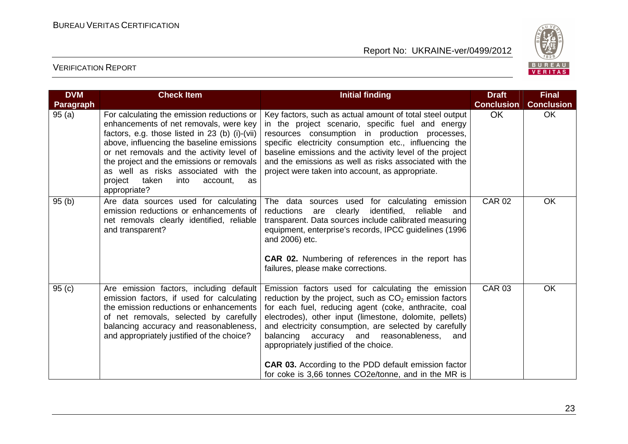

| <b>DVM</b>       | <b>Check Item</b>                                                                                                                                                                                                                                                                                                                                                                | <b>Initial finding</b>                                                                                                                                                                                                                                                                                                                                                                                                                                                                                         | <b>Draft</b>      | <b>Final</b>      |
|------------------|----------------------------------------------------------------------------------------------------------------------------------------------------------------------------------------------------------------------------------------------------------------------------------------------------------------------------------------------------------------------------------|----------------------------------------------------------------------------------------------------------------------------------------------------------------------------------------------------------------------------------------------------------------------------------------------------------------------------------------------------------------------------------------------------------------------------------------------------------------------------------------------------------------|-------------------|-------------------|
| <b>Paragraph</b> |                                                                                                                                                                                                                                                                                                                                                                                  |                                                                                                                                                                                                                                                                                                                                                                                                                                                                                                                | <b>Conclusion</b> | <b>Conclusion</b> |
| 95(a)            | For calculating the emission reductions or<br>enhancements of net removals, were key<br>factors, e.g. those listed in 23 (b) (i)-(vii)<br>above, influencing the baseline emissions<br>or net removals and the activity level of<br>the project and the emissions or removals<br>as well as risks associated with the<br>project taken<br>into<br>account,<br>as<br>appropriate? | Key factors, such as actual amount of total steel output<br>in the project scenario, specific fuel and energy<br>resources consumption in production processes,<br>specific electricity consumption etc., influencing the<br>baseline emissions and the activity level of the project<br>and the emissions as well as risks associated with the<br>project were taken into account, as appropriate.                                                                                                            | <b>OK</b>         | <b>OK</b>         |
| 95(b)            | Are data sources used for calculating<br>emission reductions or enhancements of<br>net removals clearly identified, reliable<br>and transparent?                                                                                                                                                                                                                                 | The data sources used for calculating emission<br>identified,<br>reductions are clearly<br>reliable<br>and<br>transparent. Data sources include calibrated measuring<br>equipment, enterprise's records, IPCC guidelines (1996<br>and 2006) etc.<br><b>CAR 02.</b> Numbering of references in the report has<br>failures, please make corrections.                                                                                                                                                             | <b>CAR 02</b>     | OK                |
| 95(c)            | Are emission factors, including default<br>emission factors, if used for calculating<br>the emission reductions or enhancements<br>of net removals, selected by carefully<br>balancing accuracy and reasonableness,<br>and appropriately justified of the choice?                                                                                                                | Emission factors used for calculating the emission<br>reduction by the project, such as $CO2$ emission factors<br>for each fuel, reducing agent (coke, anthracite, coal<br>electrodes), other input (limestone, dolomite, pellets)<br>and electricity consumption, are selected by carefully<br>balancing accuracy and reasonableness,<br>and<br>appropriately justified of the choice.<br><b>CAR 03.</b> According to the PDD default emission factor<br>for coke is 3,66 tonnes CO2e/tonne, and in the MR is | <b>CAR 03</b>     | <b>OK</b>         |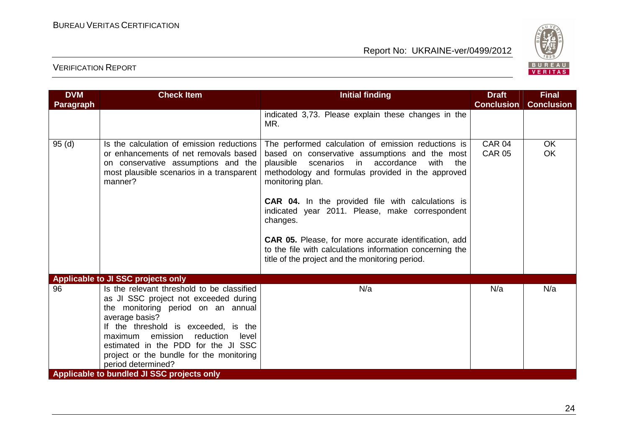

| <b>Paragraph</b> |                                                                                                                                                                                                                                                                                                                                                                                         |                                                                                                                                                                                                                                                                                                                                                                                                                                                                                                                                           | <b>Conclusion</b>              | <b>Conclusion</b>      |
|------------------|-----------------------------------------------------------------------------------------------------------------------------------------------------------------------------------------------------------------------------------------------------------------------------------------------------------------------------------------------------------------------------------------|-------------------------------------------------------------------------------------------------------------------------------------------------------------------------------------------------------------------------------------------------------------------------------------------------------------------------------------------------------------------------------------------------------------------------------------------------------------------------------------------------------------------------------------------|--------------------------------|------------------------|
|                  |                                                                                                                                                                                                                                                                                                                                                                                         |                                                                                                                                                                                                                                                                                                                                                                                                                                                                                                                                           |                                |                        |
|                  |                                                                                                                                                                                                                                                                                                                                                                                         | indicated 3,73. Please explain these changes in the<br>MR.                                                                                                                                                                                                                                                                                                                                                                                                                                                                                |                                |                        |
| 95(d)            | Is the calculation of emission reductions<br>or enhancements of net removals based<br>on conservative assumptions and the<br>most plausible scenarios in a transparent<br>manner?                                                                                                                                                                                                       | The performed calculation of emission reductions is<br>based on conservative assumptions and the most<br>plausible scenarios in accordance<br>with the<br>methodology and formulas provided in the approved<br>monitoring plan.<br><b>CAR 04.</b> In the provided file with calculations is<br>indicated year 2011. Please, make correspondent<br>changes.<br><b>CAR 05.</b> Please, for more accurate identification, add<br>to the file with calculations information concerning the<br>title of the project and the monitoring period. | <b>CAR 04</b><br><b>CAR 05</b> | <b>OK</b><br><b>OK</b> |
|                  | Applicable to JI SSC projects only                                                                                                                                                                                                                                                                                                                                                      |                                                                                                                                                                                                                                                                                                                                                                                                                                                                                                                                           |                                |                        |
| 96               | Is the relevant threshold to be classified<br>as JI SSC project not exceeded during<br>the monitoring period on an annual<br>average basis?<br>If the threshold is exceeded, is the<br>reduction<br>emission<br>maximum<br>level<br>estimated in the PDD for the JI SSC<br>project or the bundle for the monitoring<br>period determined?<br>Applicable to bundled JI SSC projects only | N/a                                                                                                                                                                                                                                                                                                                                                                                                                                                                                                                                       | N/a                            | N/a                    |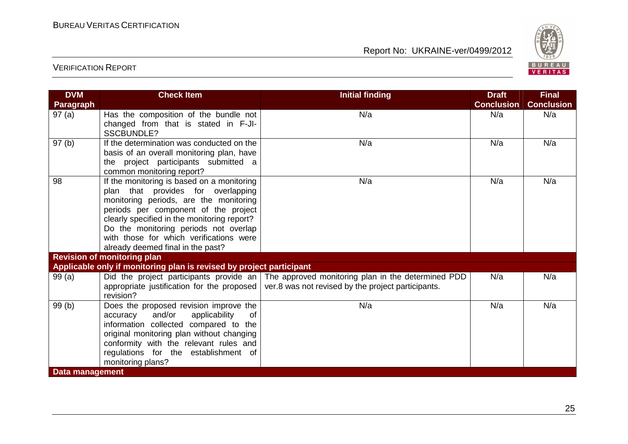

| <b>DVM</b>       | <b>Check Item</b>                                                                                                                                                                                                                                                                                                                          | <b>Initial finding</b>                                                                                                                                   | <b>Draft</b>      | <b>Final</b>      |
|------------------|--------------------------------------------------------------------------------------------------------------------------------------------------------------------------------------------------------------------------------------------------------------------------------------------------------------------------------------------|----------------------------------------------------------------------------------------------------------------------------------------------------------|-------------------|-------------------|
| <b>Paragraph</b> |                                                                                                                                                                                                                                                                                                                                            |                                                                                                                                                          | <b>Conclusion</b> | <b>Conclusion</b> |
| 97(a)            | Has the composition of the bundle not<br>changed from that is stated in F-JI-<br><b>SSCBUNDLE?</b>                                                                                                                                                                                                                                         | N/a                                                                                                                                                      | N/a               | N/a               |
| 97(b)            | If the determination was conducted on the<br>basis of an overall monitoring plan, have<br>the project participants submitted a<br>common monitoring report?                                                                                                                                                                                | N/a                                                                                                                                                      | N/a               | N/a               |
| 98               | If the monitoring is based on a monitoring<br>plan that provides for overlapping<br>monitoring periods, are the monitoring<br>periods per component of the project<br>clearly specified in the monitoring report?<br>Do the monitoring periods not overlap<br>with those for which verifications were<br>already deemed final in the past? | N/a                                                                                                                                                      | N/a               | N/a               |
|                  | <b>Revision of monitoring plan</b>                                                                                                                                                                                                                                                                                                         |                                                                                                                                                          |                   |                   |
|                  | Applicable only if monitoring plan is revised by project participant                                                                                                                                                                                                                                                                       |                                                                                                                                                          |                   |                   |
| 99(a)            | appropriate justification for the proposed<br>revision?                                                                                                                                                                                                                                                                                    | Did the project participants provide an $\vert$ The approved monitoring plan in the determined PDD<br>ver.8 was not revised by the project participants. | N/a               | N/a               |
| 99(b)            | Does the proposed revision improve the<br>and/or<br>applicability<br>accuracy<br>0f<br>information collected compared to the<br>original monitoring plan without changing<br>conformity with the relevant rules and<br>regulations for the establishment of<br>monitoring plans?                                                           | N/a                                                                                                                                                      | N/a               | N/a               |
| Data management  |                                                                                                                                                                                                                                                                                                                                            |                                                                                                                                                          |                   |                   |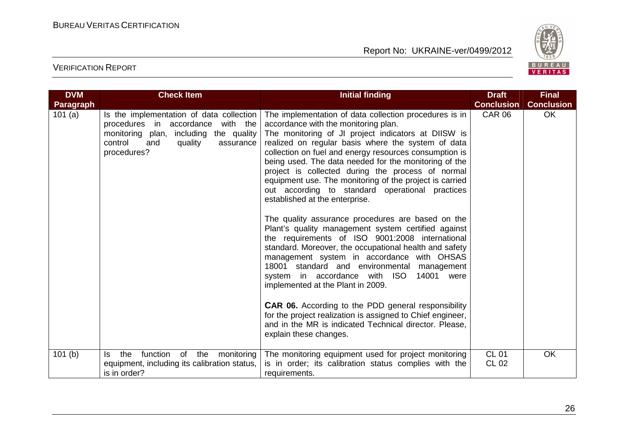

| <b>DVM</b> | <b>Check Item</b>                                                                                                                                                                   | <b>Initial finding</b>                                                                                                                                                                                                                                                                                                                                                                                                                                                                                                              | <b>Draft</b>                 | <b>Final</b>      |
|------------|-------------------------------------------------------------------------------------------------------------------------------------------------------------------------------------|-------------------------------------------------------------------------------------------------------------------------------------------------------------------------------------------------------------------------------------------------------------------------------------------------------------------------------------------------------------------------------------------------------------------------------------------------------------------------------------------------------------------------------------|------------------------------|-------------------|
| Paragraph  |                                                                                                                                                                                     |                                                                                                                                                                                                                                                                                                                                                                                                                                                                                                                                     | <b>Conclusion</b>            | <b>Conclusion</b> |
| 101 $(a)$  | Is the implementation of data collection<br>procedures in accordance with the<br>including the quality<br>monitoring plan,<br>control<br>quality<br>and<br>assurance<br>procedures? | The implementation of data collection procedures is in<br>accordance with the monitoring plan.<br>The monitoring of JI project indicators at DIISW is<br>realized on regular basis where the system of data<br>collection on fuel and energy resources consumption is<br>being used. The data needed for the monitoring of the<br>project is collected during the process of normal<br>equipment use. The monitoring of the project is carried<br>out according to standard operational practices<br>established at the enterprise. | <b>CAR 06</b>                | <b>OK</b>         |
|            |                                                                                                                                                                                     | The quality assurance procedures are based on the<br>Plant's quality management system certified against<br>the requirements of ISO 9001:2008 international<br>standard. Moreover, the occupational health and safety<br>management system in accordance with OHSAS<br>18001 standard and environmental management<br>system in accordance with ISO<br>14001<br>were<br>implemented at the Plant in 2009.                                                                                                                           |                              |                   |
|            |                                                                                                                                                                                     | <b>CAR 06.</b> According to the PDD general responsibility<br>for the project realization is assigned to Chief engineer,<br>and in the MR is indicated Technical director. Please,<br>explain these changes.                                                                                                                                                                                                                                                                                                                        |                              |                   |
| 101(b)     | function of the<br>the<br>monitoring<br>Is.<br>equipment, including its calibration status,<br>is in order?                                                                         | The monitoring equipment used for project monitoring<br>is in order; its calibration status complies with the<br>requirements.                                                                                                                                                                                                                                                                                                                                                                                                      | <b>CL 01</b><br><b>CL 02</b> | <b>OK</b>         |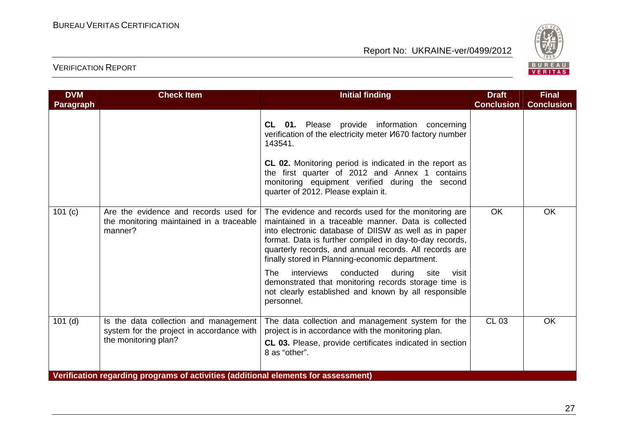

| <b>DVM</b>       | <b>Check Item</b>                                                                                          | <b>Initial finding</b>                                                                                                                                                                                                                                                                                                                       | <b>Draft</b>      | <b>Final</b>      |
|------------------|------------------------------------------------------------------------------------------------------------|----------------------------------------------------------------------------------------------------------------------------------------------------------------------------------------------------------------------------------------------------------------------------------------------------------------------------------------------|-------------------|-------------------|
| <b>Paragraph</b> |                                                                                                            |                                                                                                                                                                                                                                                                                                                                              | <b>Conclusion</b> | <b>Conclusion</b> |
|                  |                                                                                                            | CL 01. Please provide information concerning<br>verification of the electricity meter <i>V</i> I670 factory number<br>143541.                                                                                                                                                                                                                |                   |                   |
|                  |                                                                                                            | <b>CL 02.</b> Monitoring period is indicated in the report as<br>the first quarter of 2012 and Annex 1 contains<br>monitoring equipment verified during the second<br>quarter of 2012. Please explain it.                                                                                                                                    |                   |                   |
| 101 (c)          | Are the evidence and records used for<br>the monitoring maintained in a traceable<br>manner?               | The evidence and records used for the monitoring are<br>maintained in a traceable manner. Data is collected<br>into electronic database of DIISW as well as in paper<br>format. Data is further compiled in day-to-day records,<br>quarterly records, and annual records. All records are<br>finally stored in Planning-economic department. | <b>OK</b>         | <b>OK</b>         |
|                  |                                                                                                            | <b>The</b><br>interviews<br>conducted<br>during<br>site<br>visit<br>demonstrated that monitoring records storage time is<br>not clearly established and known by all responsible<br>personnel.                                                                                                                                               |                   |                   |
| $101$ (d)        | Is the data collection and management<br>system for the project in accordance with<br>the monitoring plan? | The data collection and management system for the<br>project is in accordance with the monitoring plan.<br>CL 03. Please, provide certificates indicated in section<br>8 as "other".                                                                                                                                                         | <b>CL 03</b>      | <b>OK</b>         |
|                  | Verification regarding programs of activities (additional elements for assessment)                         |                                                                                                                                                                                                                                                                                                                                              |                   |                   |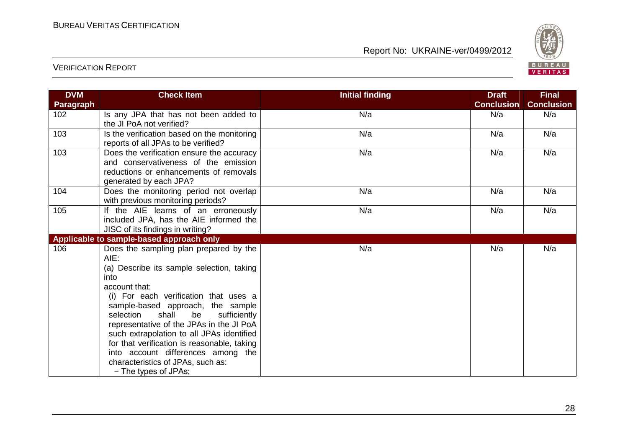

| <b>DVM</b> | <b>Check Item</b>                                                                                                                                                                                                                                                                                                                                                                                                                                                                         | <b>Initial finding</b> | <b>Draft</b>      | <b>Final</b>      |
|------------|-------------------------------------------------------------------------------------------------------------------------------------------------------------------------------------------------------------------------------------------------------------------------------------------------------------------------------------------------------------------------------------------------------------------------------------------------------------------------------------------|------------------------|-------------------|-------------------|
| Paragraph  |                                                                                                                                                                                                                                                                                                                                                                                                                                                                                           |                        | <b>Conclusion</b> | <b>Conclusion</b> |
| 102        | Is any JPA that has not been added to<br>the JI PoA not verified?                                                                                                                                                                                                                                                                                                                                                                                                                         | N/a                    | N/a               | N/a               |
| 103        | Is the verification based on the monitoring<br>reports of all JPAs to be verified?                                                                                                                                                                                                                                                                                                                                                                                                        | N/a                    | N/a               | N/a               |
| 103        | Does the verification ensure the accuracy<br>and conservativeness of the emission<br>reductions or enhancements of removals<br>generated by each JPA?                                                                                                                                                                                                                                                                                                                                     | N/a                    | N/a               | N/a               |
| 104        | Does the monitoring period not overlap<br>with previous monitoring periods?                                                                                                                                                                                                                                                                                                                                                                                                               | N/a                    | N/a               | N/a               |
| 105        | If the AIE learns of an erroneously<br>included JPA, has the AIE informed the<br>JISC of its findings in writing?                                                                                                                                                                                                                                                                                                                                                                         | N/a                    | N/a               | N/a               |
|            | Applicable to sample-based approach only                                                                                                                                                                                                                                                                                                                                                                                                                                                  |                        |                   |                   |
| 106        | Does the sampling plan prepared by the<br>AIE:<br>(a) Describe its sample selection, taking<br>into<br>account that:<br>(i) For each verification that uses a<br>sample-based approach, the sample<br>shall<br>be<br>selection<br>sufficiently<br>representative of the JPAs in the JI PoA<br>such extrapolation to all JPAs identified<br>for that verification is reasonable, taking<br>into account differences among the<br>characteristics of JPAs, such as:<br>- The types of JPAs; | N/a                    | N/a               | N/a               |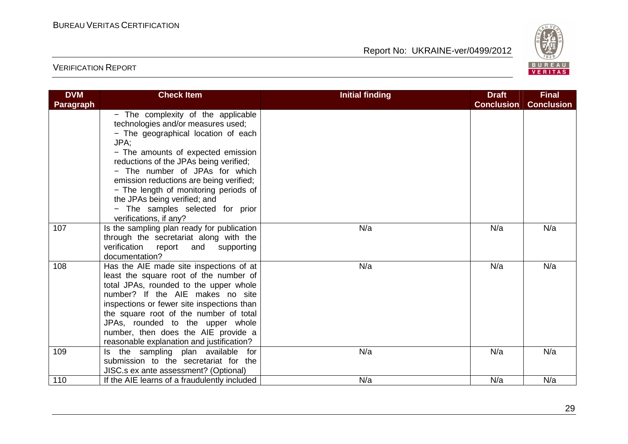

| <b>DVM</b>       | <b>Check Item</b>                                                                                                                                                                                                                                                                                                                                                                                                           | <b>Initial finding</b> | <b>Draft</b>      | <b>Final</b>      |
|------------------|-----------------------------------------------------------------------------------------------------------------------------------------------------------------------------------------------------------------------------------------------------------------------------------------------------------------------------------------------------------------------------------------------------------------------------|------------------------|-------------------|-------------------|
| <b>Paragraph</b> | - The complexity of the applicable<br>technologies and/or measures used;<br>- The geographical location of each<br>JPA;<br>- The amounts of expected emission<br>reductions of the JPAs being verified;<br>- The number of JPAs for which<br>emission reductions are being verified;<br>- The length of monitoring periods of<br>the JPAs being verified; and<br>- The samples selected for prior<br>verifications, if any? |                        | <b>Conclusion</b> | <b>Conclusion</b> |
| 107              | Is the sampling plan ready for publication<br>through the secretariat along with the<br>verification report<br>and supporting<br>documentation?                                                                                                                                                                                                                                                                             | N/a                    | N/a               | N/a               |
| 108              | Has the AIE made site inspections of at<br>least the square root of the number of<br>total JPAs, rounded to the upper whole<br>number? If the AIE makes no site<br>inspections or fewer site inspections than<br>the square root of the number of total<br>JPAs, rounded to the upper whole<br>number, then does the AIE provide a<br>reasonable explanation and justification?                                             | N/a                    | N/a               | N/a               |
| 109              | Is the sampling plan available for<br>submission to the secretariat for the<br>JISC.s ex ante assessment? (Optional)                                                                                                                                                                                                                                                                                                        | N/a                    | N/a               | N/a               |
| 110              | If the AIE learns of a fraudulently included                                                                                                                                                                                                                                                                                                                                                                                | N/a                    | N/a               | N/a               |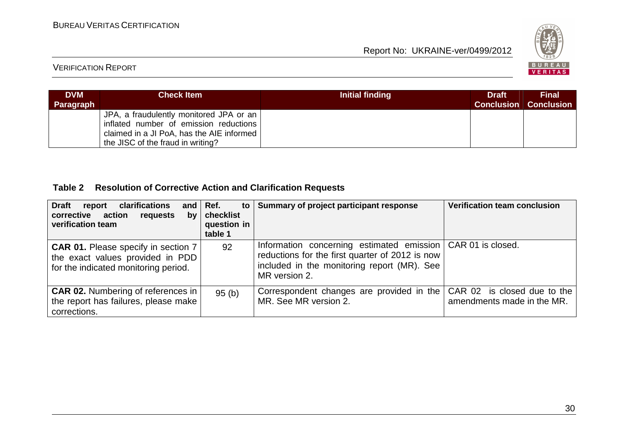

#### VERIFICATION REPORT

| <b>DVM</b><br><b>Paragraph</b> | <b>Check Item</b>                                                                                                                                                   | Initial finding | <b>Draft</b><br><b>Conclusion</b> | <b>Final</b><br><b>Conclusion</b> |
|--------------------------------|---------------------------------------------------------------------------------------------------------------------------------------------------------------------|-----------------|-----------------------------------|-----------------------------------|
|                                | JPA, a fraudulently monitored JPA or an<br>inflated number of emission reductions<br>claimed in a JI PoA, has the AIE informed<br>the JISC of the fraud in writing? |                 |                                   |                                   |

#### **Table 2 Resolution of Corrective Action and Clarification Requests**

| clarifications<br><b>Draft</b><br>report<br>corrective action<br>requests<br>bv<br>verification team                   | and $\vert$ Ref.<br>$\mathsf{to}$<br>checklist<br>question in<br>table 1 | Summary of project participant response                                                                                                                                          | <b>Verification team conclusion</b>                       |
|------------------------------------------------------------------------------------------------------------------------|--------------------------------------------------------------------------|----------------------------------------------------------------------------------------------------------------------------------------------------------------------------------|-----------------------------------------------------------|
| <b>CAR 01.</b> Please specify in section 7<br>the exact values provided in PDD<br>for the indicated monitoring period. | 92                                                                       | Information concerning estimated emission   CAR 01 is closed.<br>reductions for the first quarter of 2012 is now<br>included in the monitoring report (MR). See<br>MR version 2. |                                                           |
| <b>CAR 02.</b> Numbering of references in<br>the report has failures, please make<br>corrections.                      | 95(b)                                                                    | Correspondent changes are provided in the<br>MR. See MR version 2.                                                                                                               | CAR 02 is closed due to the<br>amendments made in the MR. |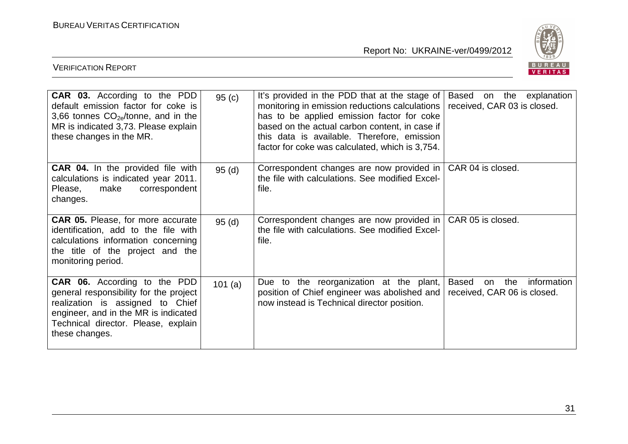

| <b>CAR 03.</b> According to the PDD<br>default emission factor for coke is<br>3,66 tonnes $CO_{2e}/$ tonne, and in the<br>MR is indicated 3,73. Please explain<br>these changes in the MR.                  | 95(c)  | It's provided in the PDD that at the stage of<br>monitoring in emission reductions calculations<br>has to be applied emission factor for coke<br>based on the actual carbon content, in case if<br>this data is available. Therefore, emission<br>factor for coke was calculated, which is 3,754. | on the<br>explanation<br>Based<br>received, CAR 03 is closed.           |
|-------------------------------------------------------------------------------------------------------------------------------------------------------------------------------------------------------------|--------|---------------------------------------------------------------------------------------------------------------------------------------------------------------------------------------------------------------------------------------------------------------------------------------------------|-------------------------------------------------------------------------|
| <b>CAR 04.</b> In the provided file with<br>calculations is indicated year 2011.<br>correspondent<br>make<br>Please,<br>changes.                                                                            | 95(d)  | Correspondent changes are now provided in<br>the file with calculations. See modified Excel-<br>file.                                                                                                                                                                                             | CAR 04 is closed.                                                       |
| <b>CAR 05.</b> Please, for more accurate<br>identification, add to the file with<br>calculations information concerning<br>the title of the project and the<br>monitoring period.                           | 95(d)  | Correspondent changes are now provided in<br>the file with calculations. See modified Excel-<br>file.                                                                                                                                                                                             | CAR 05 is closed.                                                       |
| CAR 06. According to the PDD<br>general responsibility for the project<br>realization is assigned to Chief<br>engineer, and in the MR is indicated<br>Technical director. Please, explain<br>these changes. | 101(a) | Due to the reorganization at the plant,<br>position of Chief engineer was abolished and<br>now instead is Technical director position.                                                                                                                                                            | the<br>information<br><b>Based</b><br>on<br>received, CAR 06 is closed. |